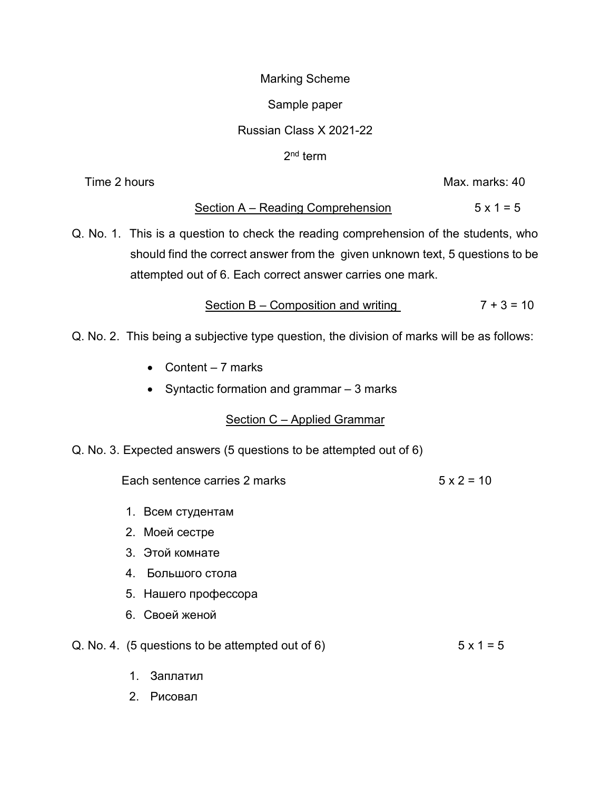### Marking Scheme

### Sample paper

## Russian Class X 2021-22

## 2<sup>nd</sup> term

Time 2 hours and the state of the state of the Max. marks: 40

## Section  $A - Reading$  Comprehension 5 x 1 = 5

Q. No. 1. This is a question to check the reading comprehension of the students, who should find the correct answer from the given unknown text, 5 questions to be attempted out of 6. Each correct answer carries one mark.

Section B – Composition and writing  $7 + 3 = 10$ 

- Q. No. 2. This being a subjective type question, the division of marks will be as follows:
	- Content  $-7$  marks
	- Syntactic formation and grammar  $-3$  marks

# Section C – Applied Grammar

Q. No. 3. Expected answers (5 questions to be attempted out of 6)

Each sentence carries 2 marks  $5 \times 2 = 10$ 

- 1. Всем студентам
- 2. Моей сестре
- 3. Этой комнате
- 4. Большого стола
- 5. Нашего профессора
- 6. Своей женой

# Q. No. 4. (5 questions to be attempted out of 6)  $5 \times 1 = 5$

- 1. Заплатил
- 2. Рисовал